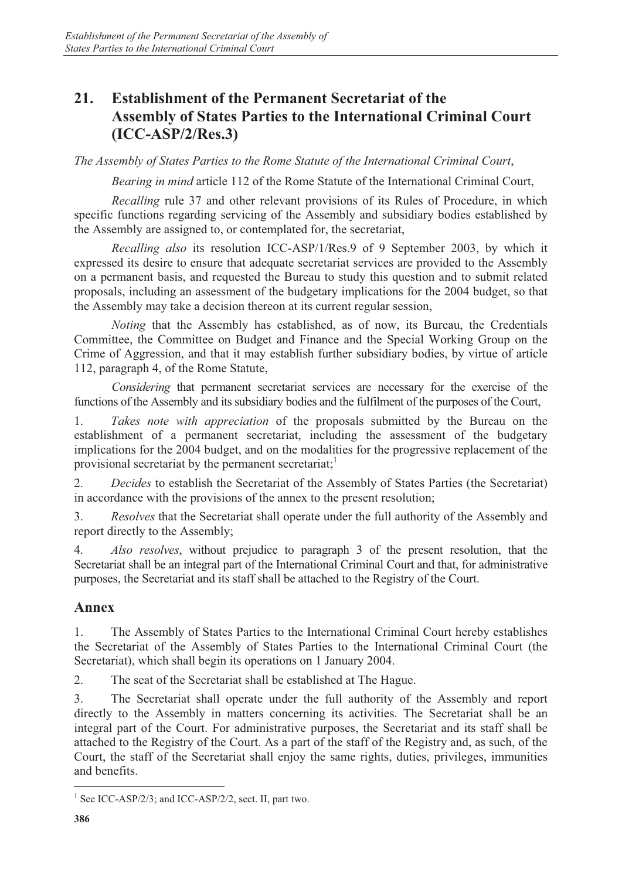## **21. Establishment of the Permanent Secretariat of the Assembly of States Parties to the International Criminal Court (ICC-ASP/2/Res.3)**

*The Assembly of States Parties to the Rome Statute of the International Criminal Court*,

*Bearing in mind* article 112 of the Rome Statute of the International Criminal Court,

*Recalling* rule 37 and other relevant provisions of its Rules of Procedure, in which specific functions regarding servicing of the Assembly and subsidiary bodies established by the Assembly are assigned to, or contemplated for, the secretariat,

*Recalling also* its resolution ICC-ASP/1/Res.9 of 9 September 2003, by which it expressed its desire to ensure that adequate secretariat services are provided to the Assembly on a permanent basis, and requested the Bureau to study this question and to submit related proposals, including an assessment of the budgetary implications for the 2004 budget, so that the Assembly may take a decision thereon at its current regular session,

*Noting* that the Assembly has established, as of now, its Bureau, the Credentials Committee, the Committee on Budget and Finance and the Special Working Group on the Crime of Aggression, and that it may establish further subsidiary bodies, by virtue of article 112, paragraph 4, of the Rome Statute,

*Considering* that permanent secretariat services are necessary for the exercise of the functions of the Assembly and its subsidiary bodies and the fulfilment of the purposes of the Court,

1. *Takes note with appreciation* of the proposals submitted by the Bureau on the establishment of a permanent secretariat, including the assessment of the budgetary implications for the 2004 budget, and on the modalities for the progressive replacement of the provisional secretariat by the permanent secretariat;<sup>1</sup>

2. *Decides* to establish the Secretariat of the Assembly of States Parties (the Secretariat) in accordance with the provisions of the annex to the present resolution;

3. *Resolves* that the Secretariat shall operate under the full authority of the Assembly and report directly to the Assembly;

4. *Also resolves*, without prejudice to paragraph 3 of the present resolution, that the Secretariat shall be an integral part of the International Criminal Court and that, for administrative purposes, the Secretariat and its staff shall be attached to the Registry of the Court.

## **Annex**

1. The Assembly of States Parties to the International Criminal Court hereby establishes the Secretariat of the Assembly of States Parties to the International Criminal Court (the Secretariat), which shall begin its operations on 1 January 2004.

2. The seat of the Secretariat shall be established at The Hague.

3. The Secretariat shall operate under the full authority of the Assembly and report directly to the Assembly in matters concerning its activities. The Secretariat shall be an integral part of the Court. For administrative purposes, the Secretariat and its staff shall be attached to the Registry of the Court. As a part of the staff of the Registry and, as such, of the Court, the staff of the Secretariat shall enjoy the same rights, duties, privileges, immunities and benefits.

<sup>&</sup>lt;sup>1</sup> See ICC-ASP/2/3; and ICC-ASP/2/2, sect. II, part two.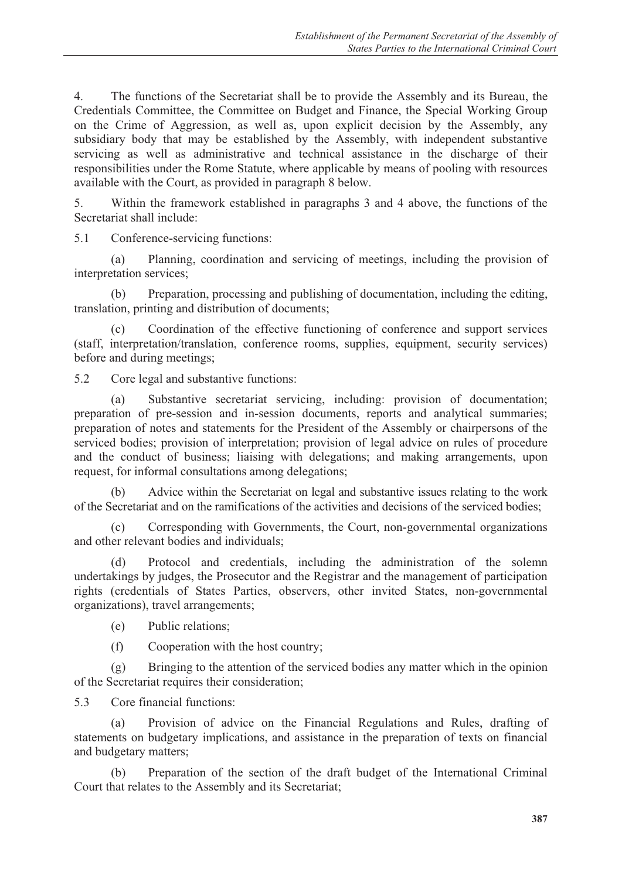4. The functions of the Secretariat shall be to provide the Assembly and its Bureau, the Credentials Committee, the Committee on Budget and Finance, the Special Working Group on the Crime of Aggression, as well as, upon explicit decision by the Assembly, any subsidiary body that may be established by the Assembly, with independent substantive servicing as well as administrative and technical assistance in the discharge of their responsibilities under the Rome Statute, where applicable by means of pooling with resources available with the Court, as provided in paragraph 8 below.

5. Within the framework established in paragraphs 3 and 4 above, the functions of the Secretariat shall include:

5.1 Conference-servicing functions:

 (a) Planning, coordination and servicing of meetings, including the provision of interpretation services;

 (b) Preparation, processing and publishing of documentation, including the editing, translation, printing and distribution of documents;

 (c) Coordination of the effective functioning of conference and support services (staff, interpretation/translation, conference rooms, supplies, equipment, security services) before and during meetings;

5.2 Core legal and substantive functions:

 (a) Substantive secretariat servicing, including: provision of documentation; preparation of pre-session and in-session documents, reports and analytical summaries; preparation of notes and statements for the President of the Assembly or chairpersons of the serviced bodies; provision of interpretation; provision of legal advice on rules of procedure and the conduct of business; liaising with delegations; and making arrangements, upon request, for informal consultations among delegations;

 (b) Advice within the Secretariat on legal and substantive issues relating to the work of the Secretariat and on the ramifications of the activities and decisions of the serviced bodies;

 (c) Corresponding with Governments, the Court, non-governmental organizations and other relevant bodies and individuals;

 (d) Protocol and credentials, including the administration of the solemn undertakings by judges, the Prosecutor and the Registrar and the management of participation rights (credentials of States Parties, observers, other invited States, non-governmental organizations), travel arrangements;

(e) Public relations;

(f) Cooperation with the host country;

 (g) Bringing to the attention of the serviced bodies any matter which in the opinion of the Secretariat requires their consideration;

5.3 Core financial functions:

 (a) Provision of advice on the Financial Regulations and Rules, drafting of statements on budgetary implications, and assistance in the preparation of texts on financial and budgetary matters;

 (b) Preparation of the section of the draft budget of the International Criminal Court that relates to the Assembly and its Secretariat;